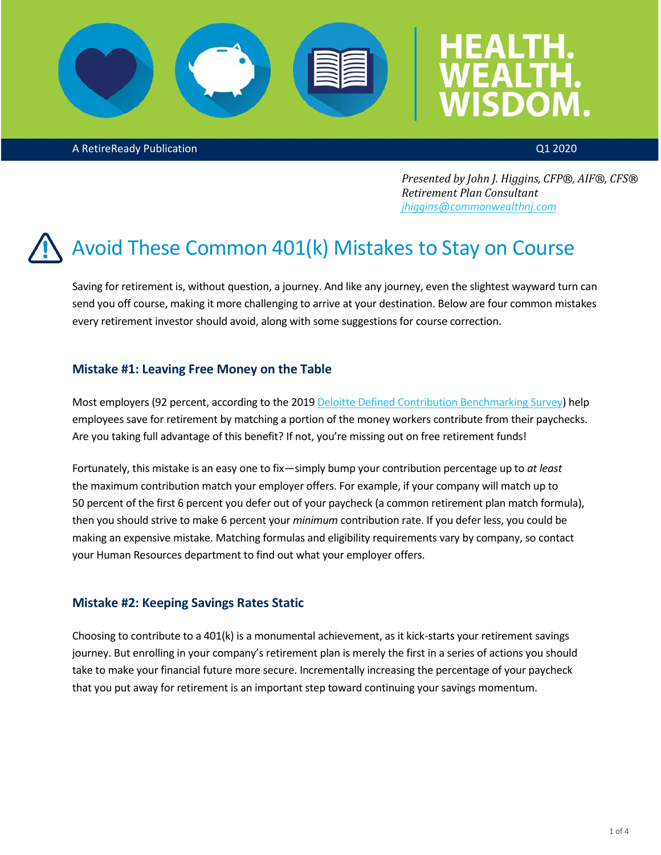

A RetireReady Publication Q1 2020

*Presented by John J. Higgins, CFP®, AIF®, CFS® Retirement Plan Consultant [jhiggins@commonwealthnj.com](mailto:jhiggins@commonwealthnj.com)*

### Avoid These Common 401(k) Mistakes to Stay on Course

Saving for retirement is, without question, a journey. And like any journey, even the slightest wayward turn can send you off course, making it more challenging to arrive at your destination. Below are four common mistakes every retirement investor should avoid, along with some suggestions for course correction.

### **Mistake #1: Leaving Free Money on the Table**

Most employers (92 percent, according to the 2019 [Deloitte Defined Contribution Benchmarking Survey\)](https://www2.deloitte.com/us/en/pages/human-capital/articles/annual-defined-contribution-benchmarking-survey.html) help employees save for retirement by matching a portion of the money workers contribute from their paychecks. Are you taking full advantage of this benefit? If not, you're missing out on free retirement funds!

Fortunately, this mistake is an easy one to fix—simply bump your contribution percentage up to *at least* the maximum contribution match your employer offers. For example, if your company will match up to 50 percent of the first 6 percent you defer out of your paycheck (a common retirement plan match formula), then you should strive to make 6 percent your *minimum* contribution rate. If you defer less, you could be making an expensive mistake. Matching formulas and eligibility requirements vary by company, so contact your Human Resources department to find out what your employer offers.

### **Mistake #2: Keeping Savings Rates Static**

Choosing to contribute to a 401(k) is a monumental achievement, as it kick-starts your retirement savings journey. But enrolling in your company's retirement plan is merely the first in a series of actions you should take to make your financial future more secure. Incrementally increasing the percentage of your paycheck that you put away for retirement is an important step toward continuing your savings momentum.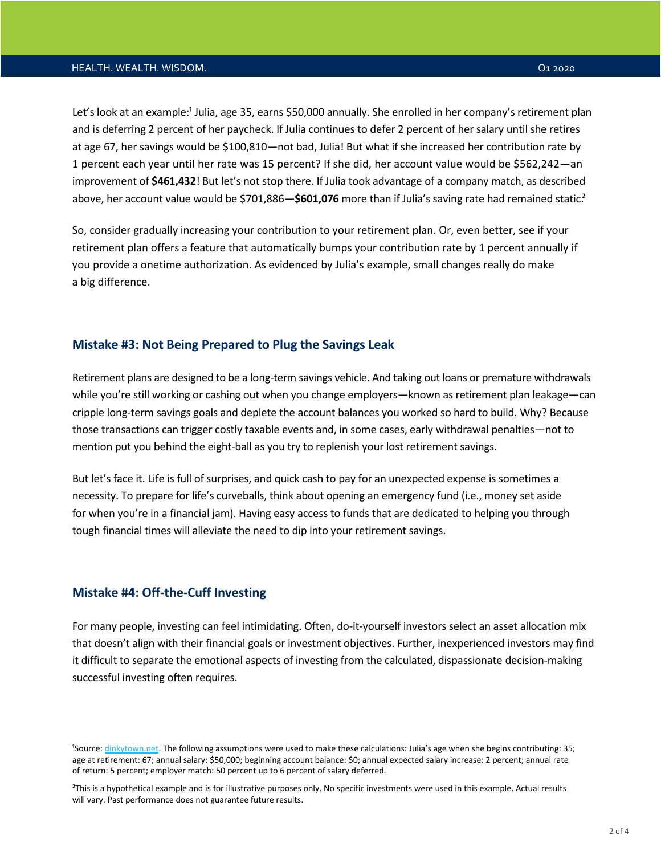#### HEALTH. WEALTH. WISDOM. HEALTH AND REALTH. WISDOM.

Let's look at an example:<sup>1</sup> Julia, age 35, earns \$50,000 annually. She enrolled in her company's retirement plan and is deferring 2 percent of her paycheck. If Julia continues to defer 2 percent of her salary until she retires at age 67, her savings would be \$100,810—not bad, Julia! But what if she increased her contribution rate by 1 percent each year until her rate was 15 percent? If she did, her account value would be \$562,242—an improvement of **\$461,432**! But let's not stop there. If Julia took advantage of a company match, as described above, her account value would be \$701,886-\$601,076 more than if Julia's saving rate had remained static.<sup>2</sup>

So, consider gradually increasing your contribution to your retirement plan. Or, even better, see if your retirement plan offers a feature that automatically bumps your contribution rate by 1 percent annually if you provide a onetime authorization. As evidenced by Julia's example, small changes really do make a big difference.

#### **Mistake #3: Not Being Prepared to Plug the Savings Leak**

Retirement plans are designed to be a long-term savings vehicle. And taking out loans or premature withdrawals while you're still working or cashing out when you change employers—known as retirement plan leakage—can cripple long-term savings goals and deplete the account balances you worked so hard to build. Why? Because those transactions can trigger costly taxable events and, in some cases, early withdrawal penalties—not to mention put you behind the eight-ball as you try to replenish your lost retirement savings.

But let's face it. Life is full of surprises, and quick cash to pay for an unexpected expense is sometimes a necessity. To prepare for life's curveballs, think about opening an emergency fund (i.e., money set aside for when you're in a financial jam). Having easy access to funds that are dedicated to helping you through tough financial times will alleviate the need to dip into your retirement savings.

#### **Mistake #4: Off-the-Cuff Investing**

For many people, investing can feel intimidating. Often, do-it-yourself investors select an asset allocation mix that doesn't align with their financial goals or investment objectives. Further, inexperienced investors may find it difficult to separate the emotional aspects of investing from the calculated, dispassionate decision-making successful investing often requires.

²This is a hypothetical example and is for illustrative purposes only. No specific investments were used in this example. Actual results will vary. Past performance does not guarantee future results.

<sup>&</sup>lt;sup>1</sup>Source[: dinkytown.net.](https://www.dinkytown.net/) The following assumptions were used to make these calculations: Julia's age when she begins contributing: 35; age at retirement: 67; annual salary: \$50,000; beginning account balance: \$0; annual expected salary increase: 2 percent; annual rate of return: 5 percent; employer match: 50 percent up to 6 percent of salary deferred.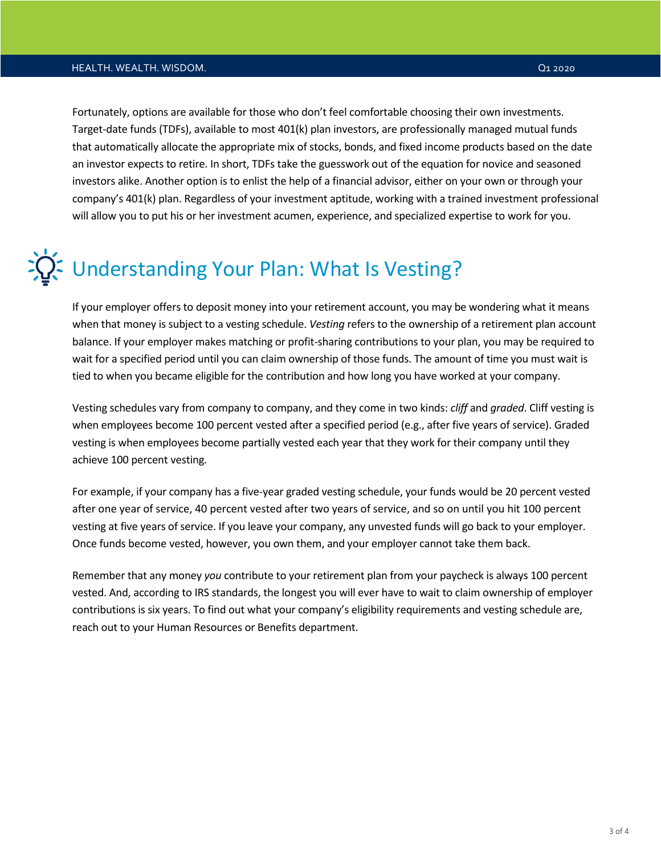Fortunately, options are available for those who don't feel comfortable choosing their own investments. Target-date funds (TDFs), available to most 401(k) plan investors, are professionally managed mutual funds that automatically allocate the appropriate mix of stocks, bonds, and fixed income products based on the date an investor expects to retire. In short, TDFs take the guesswork out of the equation for novice and seasoned investors alike. Another option is to enlist the help of a financial advisor, either on your own or through your company's 401(k) plan. Regardless of your investment aptitude, working with a trained investment professional will allow you to put his or her investment acumen, experience, and specialized expertise to work for you.

# **X** Understanding Your Plan: What Is Vesting?

If your employer offers to deposit money into your retirement account, you may be wondering what it means when that money is subject to a vesting schedule. *Vesting* refers to the ownership of a retirement plan account balance. If your employer makes matching or profit-sharing contributions to your plan, you may be required to wait for a specified period until you can claim ownership of those funds. The amount of time you must wait is tied to when you became eligible for the contribution and how long you have worked at your company.

Vesting schedules vary from company to company, and they come in two kinds: *cliff* and *graded*. Cliff vesting is when employees become 100 percent vested after a specified period (e.g., after five years of service). Graded vesting is when employees become partially vested each year that they work for their company until they achieve 100 percent vesting.

For example, if your company has a five-year graded vesting schedule, your funds would be 20 percent vested after one year of service, 40 percent vested after two years of service, and so on until you hit 100 percent vesting at five years of service. If you leave your company, any unvested funds will go back to your employer. Once funds become vested, however, you own them, and your employer cannot take them back.

Remember that any money *you* contribute to your retirement plan from your paycheck is always 100 percent vested. And, according to IRS standards, the longest you will ever have to wait to claim ownership of employer contributions is six years. To find out what your company's eligibility requirements and vesting schedule are, reach out to your Human Resources or Benefits department.